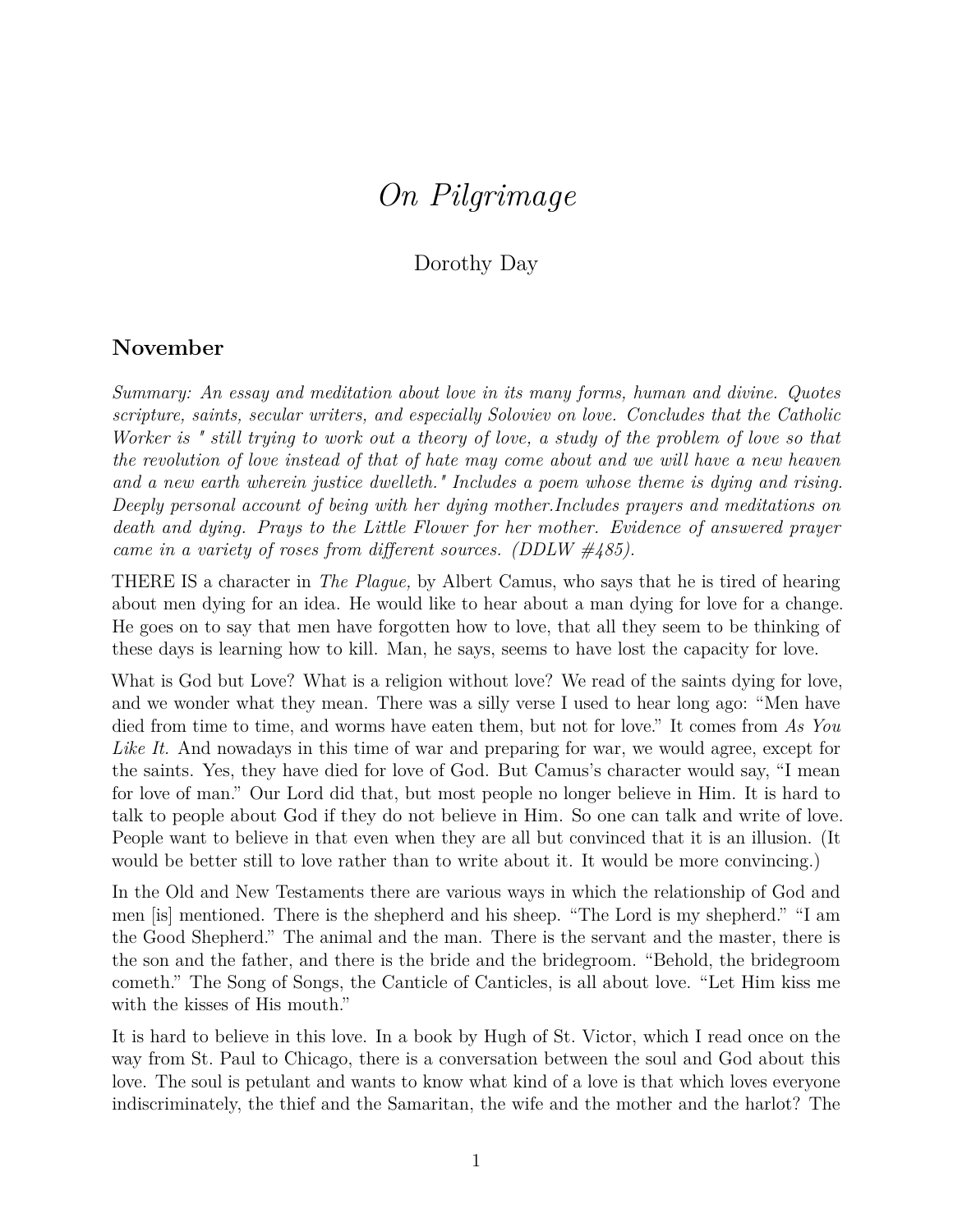## *On Pilgrimage*

## Dorothy Day

## **November**

*Summary: An essay and meditation about love in its many forms, human and divine. Quotes scripture, saints, secular writers, and especially Soloviev on love. Concludes that the Catholic Worker is " still trying to work out a theory of love, a study of the problem of love so that the revolution of love instead of that of hate may come about and we will have a new heaven and a new earth wherein justice dwelleth." Includes a poem whose theme is dying and rising. Deeply personal account of being with her dying mother.Includes prayers and meditations on death and dying. Prays to the Little Flower for her mother. Evidence of answered prayer came in a variety of roses from different sources. (DDLW #485).*

THERE IS a character in *The Plague,* by Albert Camus, who says that he is tired of hearing about men dying for an idea. He would like to hear about a man dying for love for a change. He goes on to say that men have forgotten how to love, that all they seem to be thinking of these days is learning how to kill. Man, he says, seems to have lost the capacity for love.

What is God but Love? What is a religion without love? We read of the saints dying for love, and we wonder what they mean. There was a silly verse I used to hear long ago: "Men have died from time to time, and worms have eaten them, but not for love." It comes from *As You* Like It. And nowadays in this time of war and preparing for war, we would agree, except for the saints. Yes, they have died for love of God. But Camus's character would say, "I mean for love of man." Our Lord did that, but most people no longer believe in Him. It is hard to talk to people about God if they do not believe in Him. So one can talk and write of love. People want to believe in that even when they are all but convinced that it is an illusion. (It would be better still to love rather than to write about it. It would be more convincing.)

In the Old and New Testaments there are various ways in which the relationship of God and men [is] mentioned. There is the shepherd and his sheep. "The Lord is my shepherd." "I am the Good Shepherd." The animal and the man. There is the servant and the master, there is the son and the father, and there is the bride and the bridegroom. "Behold, the bridegroom cometh." The Song of Songs, the Canticle of Canticles, is all about love. "Let Him kiss me with the kisses of His mouth."

It is hard to believe in this love. In a book by Hugh of St. Victor, which I read once on the way from St. Paul to Chicago, there is a conversation between the soul and God about this love. The soul is petulant and wants to know what kind of a love is that which loves everyone indiscriminately, the thief and the Samaritan, the wife and the mother and the harlot? The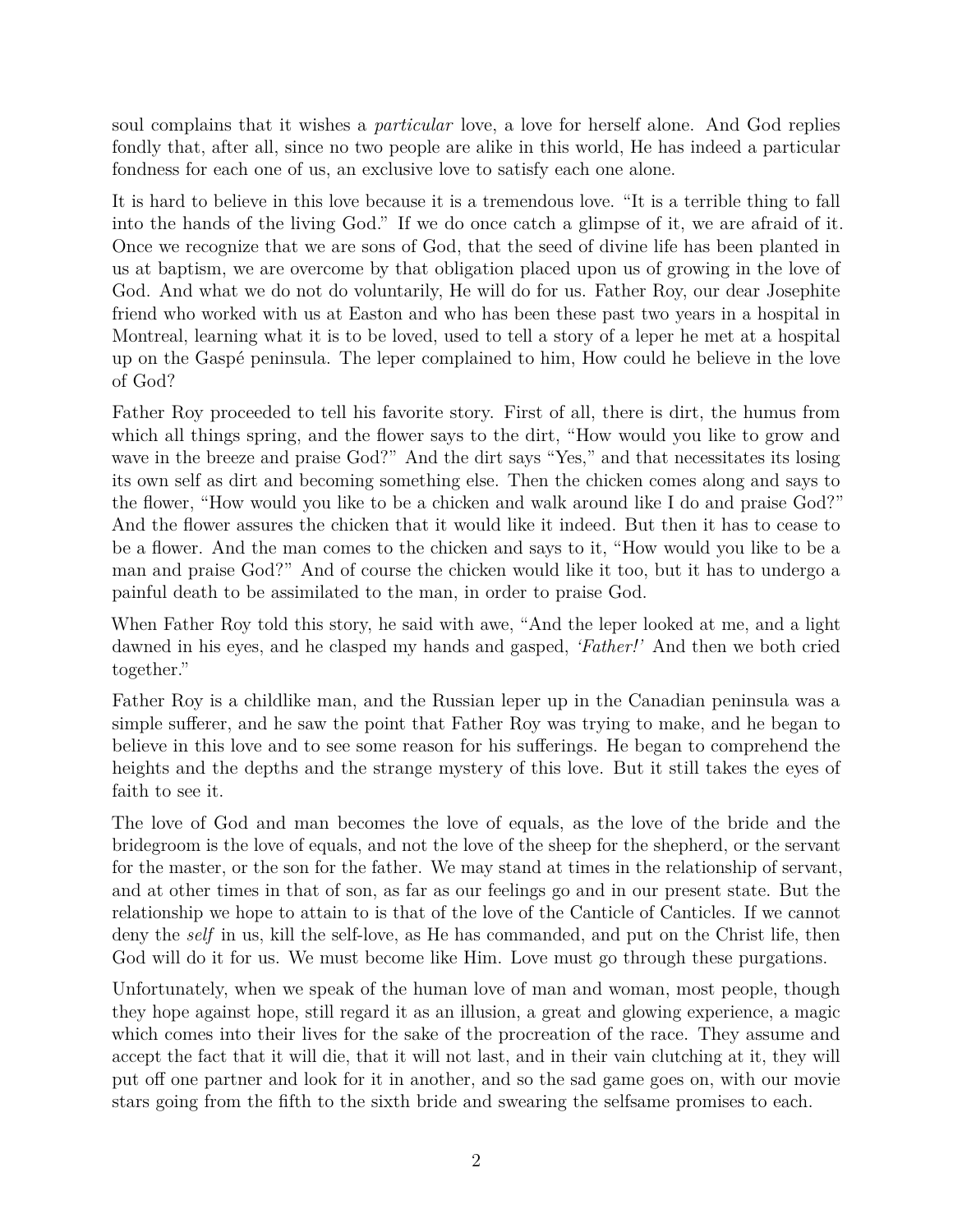soul complains that it wishes a *particular* love, a love for herself alone. And God replies fondly that, after all, since no two people are alike in this world, He has indeed a particular fondness for each one of us, an exclusive love to satisfy each one alone.

It is hard to believe in this love because it is a tremendous love. "It is a terrible thing to fall into the hands of the living God." If we do once catch a glimpse of it, we are afraid of it. Once we recognize that we are sons of God, that the seed of divine life has been planted in us at baptism, we are overcome by that obligation placed upon us of growing in the love of God. And what we do not do voluntarily, He will do for us. Father Roy, our dear Josephite friend who worked with us at Easton and who has been these past two years in a hospital in Montreal, learning what it is to be loved, used to tell a story of a leper he met at a hospital up on the Gaspé peninsula. The leper complained to him, How could he believe in the love of God?

Father Roy proceeded to tell his favorite story. First of all, there is dirt, the humus from which all things spring, and the flower says to the dirt, "How would you like to grow and wave in the breeze and praise God?" And the dirt says "Yes," and that necessitates its losing its own self as dirt and becoming something else. Then the chicken comes along and says to the flower, "How would you like to be a chicken and walk around like I do and praise God?" And the flower assures the chicken that it would like it indeed. But then it has to cease to be a flower. And the man comes to the chicken and says to it, "How would you like to be a man and praise God?" And of course the chicken would like it too, but it has to undergo a painful death to be assimilated to the man, in order to praise God.

When Father Roy told this story, he said with awe, "And the leper looked at me, and a light dawned in his eyes, and he clasped my hands and gasped, *'Father!'* And then we both cried together."

Father Roy is a childlike man, and the Russian leper up in the Canadian peninsula was a simple sufferer, and he saw the point that Father Roy was trying to make, and he began to believe in this love and to see some reason for his sufferings. He began to comprehend the heights and the depths and the strange mystery of this love. But it still takes the eyes of faith to see it.

The love of God and man becomes the love of equals, as the love of the bride and the bridegroom is the love of equals, and not the love of the sheep for the shepherd, or the servant for the master, or the son for the father. We may stand at times in the relationship of servant, and at other times in that of son, as far as our feelings go and in our present state. But the relationship we hope to attain to is that of the love of the Canticle of Canticles. If we cannot deny the *self* in us, kill the self-love, as He has commanded, and put on the Christ life, then God will do it for us. We must become like Him. Love must go through these purgations.

Unfortunately, when we speak of the human love of man and woman, most people, though they hope against hope, still regard it as an illusion, a great and glowing experience, a magic which comes into their lives for the sake of the procreation of the race. They assume and accept the fact that it will die, that it will not last, and in their vain clutching at it, they will put off one partner and look for it in another, and so the sad game goes on, with our movie stars going from the fifth to the sixth bride and swearing the selfsame promises to each.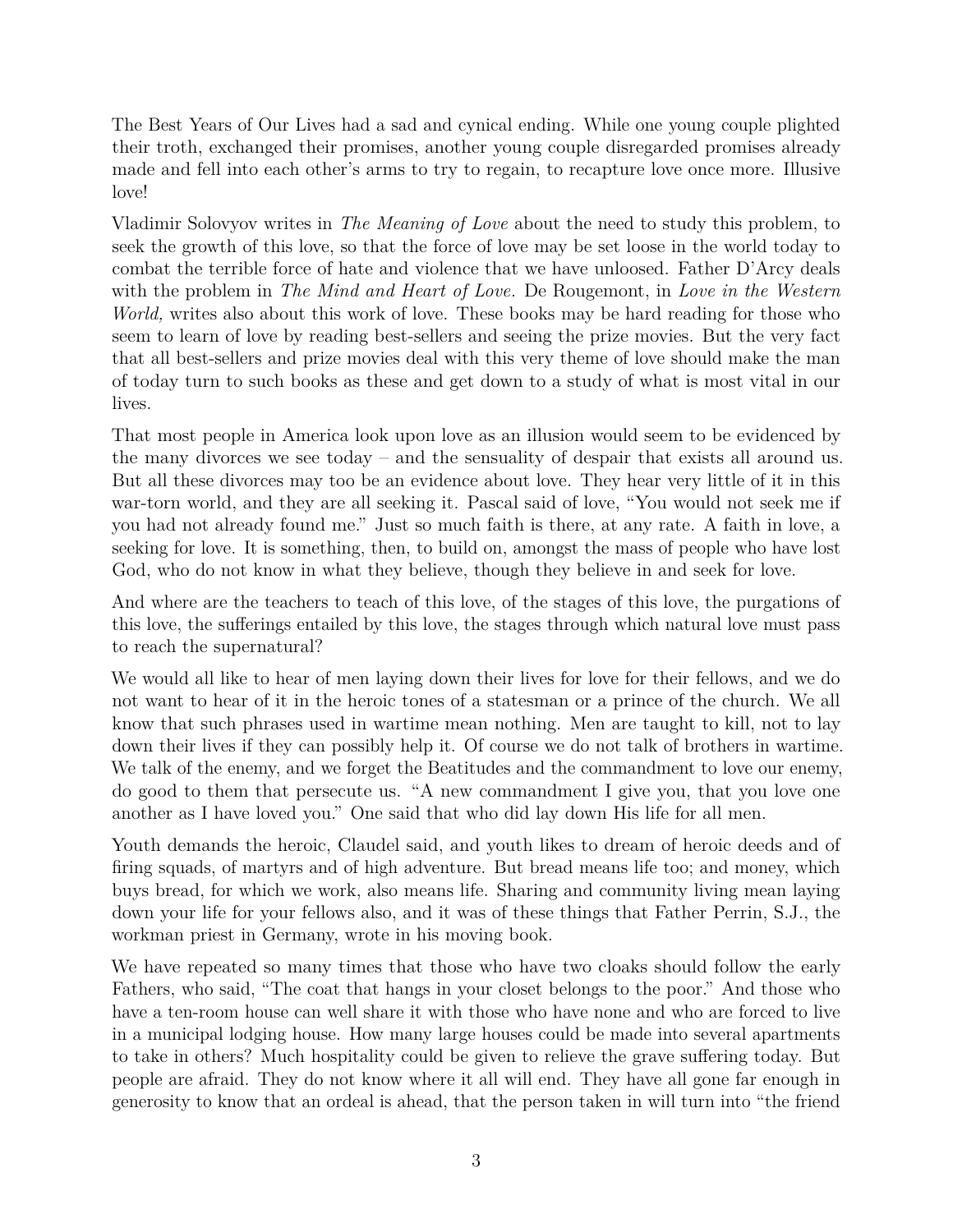The Best Years of Our Lives had a sad and cynical ending. While one young couple plighted their troth, exchanged their promises, another young couple disregarded promises already made and fell into each other's arms to try to regain, to recapture love once more. Illusive love!

Vladimir Solovyov writes in *The Meaning of Love* about the need to study this problem, to seek the growth of this love, so that the force of love may be set loose in the world today to combat the terrible force of hate and violence that we have unloosed. Father D'Arcy deals with the problem in *The Mind and Heart of Love.* De Rougemont, in *Love in the Western World,* writes also about this work of love. These books may be hard reading for those who seem to learn of love by reading best-sellers and seeing the prize movies. But the very fact that all best-sellers and prize movies deal with this very theme of love should make the man of today turn to such books as these and get down to a study of what is most vital in our lives.

That most people in America look upon love as an illusion would seem to be evidenced by the many divorces we see today – and the sensuality of despair that exists all around us. But all these divorces may too be an evidence about love. They hear very little of it in this war-torn world, and they are all seeking it. Pascal said of love, "You would not seek me if you had not already found me." Just so much faith is there, at any rate. A faith in love, a seeking for love. It is something, then, to build on, amongst the mass of people who have lost God, who do not know in what they believe, though they believe in and seek for love.

And where are the teachers to teach of this love, of the stages of this love, the purgations of this love, the sufferings entailed by this love, the stages through which natural love must pass to reach the supernatural?

We would all like to hear of men laying down their lives for love for their fellows, and we do not want to hear of it in the heroic tones of a statesman or a prince of the church. We all know that such phrases used in wartime mean nothing. Men are taught to kill, not to lay down their lives if they can possibly help it. Of course we do not talk of brothers in wartime. We talk of the enemy, and we forget the Beatitudes and the commandment to love our enemy, do good to them that persecute us. "A new commandment I give you, that you love one another as I have loved you." One said that who did lay down His life for all men.

Youth demands the heroic, Claudel said, and youth likes to dream of heroic deeds and of firing squads, of martyrs and of high adventure. But bread means life too; and money, which buys bread, for which we work, also means life. Sharing and community living mean laying down your life for your fellows also, and it was of these things that Father Perrin, S.J., the workman priest in Germany, wrote in his moving book.

We have repeated so many times that those who have two cloaks should follow the early Fathers, who said, "The coat that hangs in your closet belongs to the poor." And those who have a ten-room house can well share it with those who have none and who are forced to live in a municipal lodging house. How many large houses could be made into several apartments to take in others? Much hospitality could be given to relieve the grave suffering today. But people are afraid. They do not know where it all will end. They have all gone far enough in generosity to know that an ordeal is ahead, that the person taken in will turn into "the friend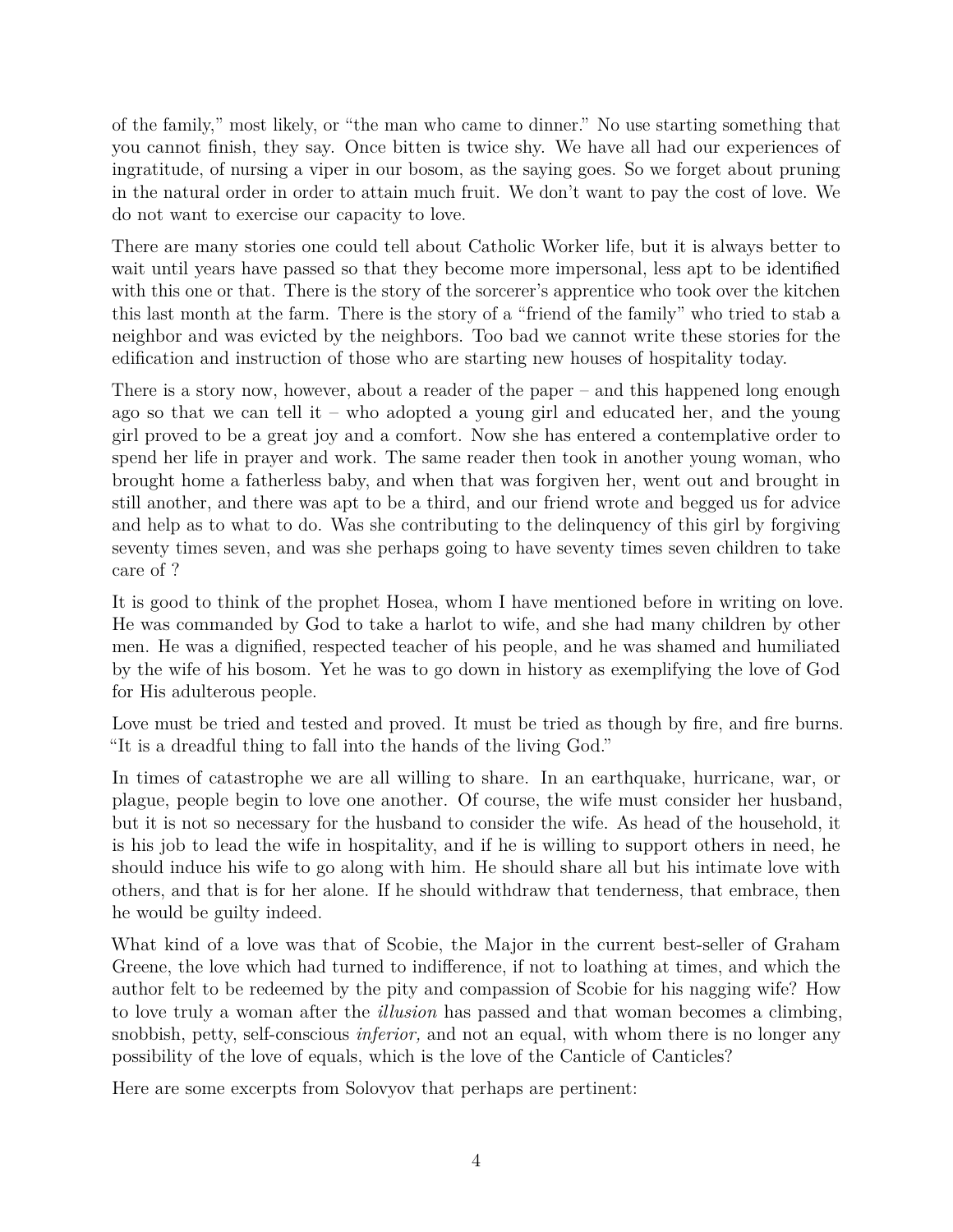of the family," most likely, or "the man who came to dinner." No use starting something that you cannot finish, they say. Once bitten is twice shy. We have all had our experiences of ingratitude, of nursing a viper in our bosom, as the saying goes. So we forget about pruning in the natural order in order to attain much fruit. We don't want to pay the cost of love. We do not want to exercise our capacity to love.

There are many stories one could tell about Catholic Worker life, but it is always better to wait until years have passed so that they become more impersonal, less apt to be identified with this one or that. There is the story of the sorcerer's apprentice who took over the kitchen this last month at the farm. There is the story of a "friend of the family" who tried to stab a neighbor and was evicted by the neighbors. Too bad we cannot write these stories for the edification and instruction of those who are starting new houses of hospitality today.

There is a story now, however, about a reader of the paper – and this happened long enough ago so that we can tell it – who adopted a young girl and educated her, and the young girl proved to be a great joy and a comfort. Now she has entered a contemplative order to spend her life in prayer and work. The same reader then took in another young woman, who brought home a fatherless baby, and when that was forgiven her, went out and brought in still another, and there was apt to be a third, and our friend wrote and begged us for advice and help as to what to do. Was she contributing to the delinquency of this girl by forgiving seventy times seven, and was she perhaps going to have seventy times seven children to take care of ?

It is good to think of the prophet Hosea, whom I have mentioned before in writing on love. He was commanded by God to take a harlot to wife, and she had many children by other men. He was a dignified, respected teacher of his people, and he was shamed and humiliated by the wife of his bosom. Yet he was to go down in history as exemplifying the love of God for His adulterous people.

Love must be tried and tested and proved. It must be tried as though by fire, and fire burns. "It is a dreadful thing to fall into the hands of the living God."

In times of catastrophe we are all willing to share. In an earthquake, hurricane, war, or plague, people begin to love one another. Of course, the wife must consider her husband, but it is not so necessary for the husband to consider the wife. As head of the household, it is his job to lead the wife in hospitality, and if he is willing to support others in need, he should induce his wife to go along with him. He should share all but his intimate love with others, and that is for her alone. If he should withdraw that tenderness, that embrace, then he would be guilty indeed.

What kind of a love was that of Scobie, the Major in the current best-seller of Graham Greene, the love which had turned to indifference, if not to loathing at times, and which the author felt to be redeemed by the pity and compassion of Scobie for his nagging wife? How to love truly a woman after the *illusion* has passed and that woman becomes a climbing, snobbish, petty, self-conscious *inferior,* and not an equal, with whom there is no longer any possibility of the love of equals, which is the love of the Canticle of Canticles?

Here are some excerpts from Solovyov that perhaps are pertinent: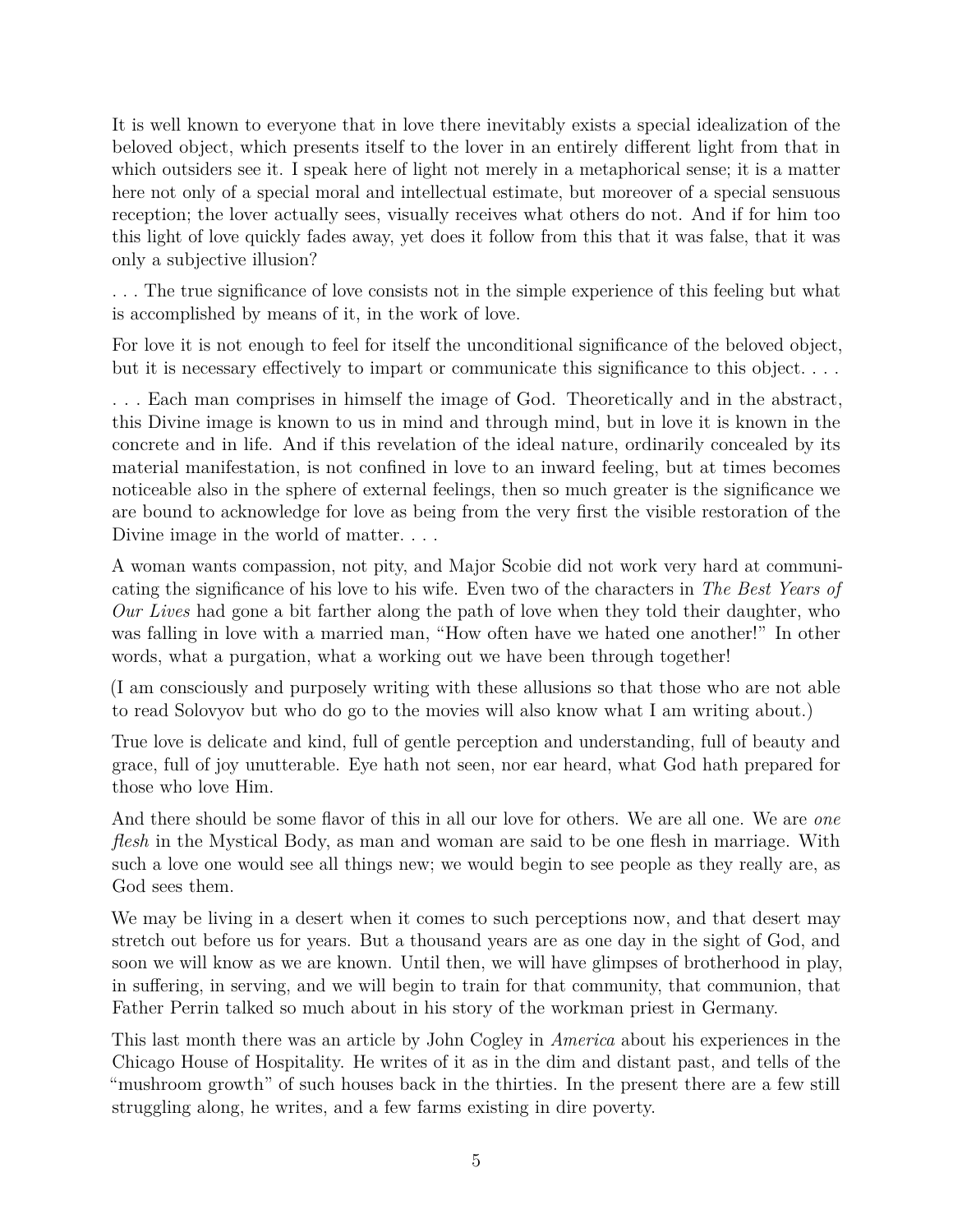It is well known to everyone that in love there inevitably exists a special idealization of the beloved object, which presents itself to the lover in an entirely different light from that in which outsiders see it. I speak here of light not merely in a metaphorical sense; it is a matter here not only of a special moral and intellectual estimate, but moreover of a special sensuous reception; the lover actually sees, visually receives what others do not. And if for him too this light of love quickly fades away, yet does it follow from this that it was false, that it was only a subjective illusion?

. . . The true significance of love consists not in the simple experience of this feeling but what is accomplished by means of it, in the work of love.

For love it is not enough to feel for itself the unconditional significance of the beloved object, but it is necessary effectively to impart or communicate this significance to this object....

. . . Each man comprises in himself the image of God. Theoretically and in the abstract, this Divine image is known to us in mind and through mind, but in love it is known in the concrete and in life. And if this revelation of the ideal nature, ordinarily concealed by its material manifestation, is not confined in love to an inward feeling, but at times becomes noticeable also in the sphere of external feelings, then so much greater is the significance we are bound to acknowledge for love as being from the very first the visible restoration of the Divine image in the world of matter. . . .

A woman wants compassion, not pity, and Major Scobie did not work very hard at communicating the significance of his love to his wife. Even two of the characters in *The Best Years of Our Lives* had gone a bit farther along the path of love when they told their daughter, who was falling in love with a married man, "How often have we hated one another!" In other words, what a purgation, what a working out we have been through together!

(I am consciously and purposely writing with these allusions so that those who are not able to read Solovyov but who do go to the movies will also know what I am writing about.)

True love is delicate and kind, full of gentle perception and understanding, full of beauty and grace, full of joy unutterable. Eye hath not seen, nor ear heard, what God hath prepared for those who love Him.

And there should be some flavor of this in all our love for others. We are all one. We are *one flesh* in the Mystical Body, as man and woman are said to be one flesh in marriage. With such a love one would see all things new; we would begin to see people as they really are, as God sees them.

We may be living in a desert when it comes to such perceptions now, and that desert may stretch out before us for years. But a thousand years are as one day in the sight of God, and soon we will know as we are known. Until then, we will have glimpses of brotherhood in play, in suffering, in serving, and we will begin to train for that community, that communion, that Father Perrin talked so much about in his story of the workman priest in Germany.

This last month there was an article by John Cogley in *America* about his experiences in the Chicago House of Hospitality. He writes of it as in the dim and distant past, and tells of the "mushroom growth" of such houses back in the thirties. In the present there are a few still struggling along, he writes, and a few farms existing in dire poverty.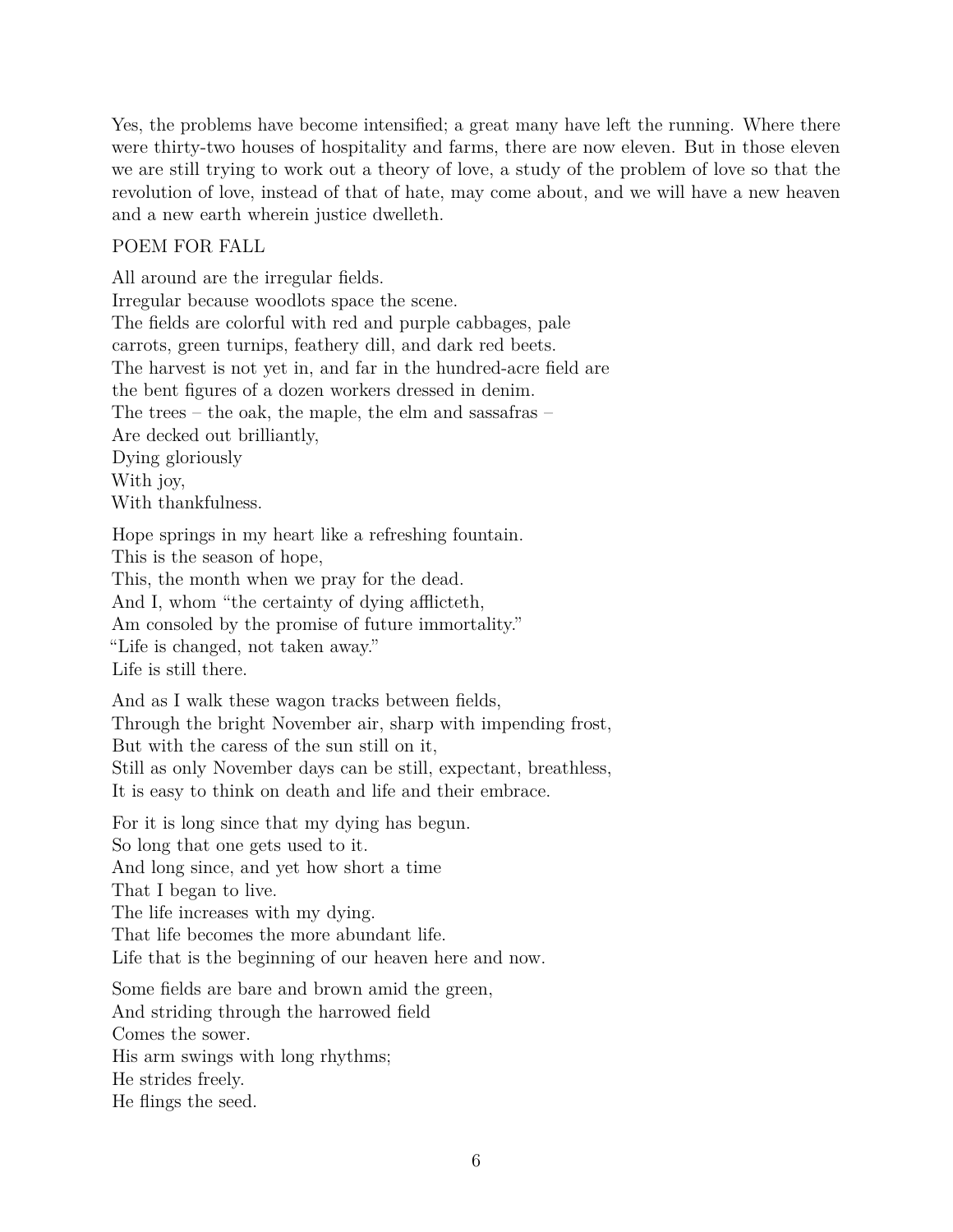Yes, the problems have become intensified; a great many have left the running. Where there were thirty-two houses of hospitality and farms, there are now eleven. But in those eleven we are still trying to work out a theory of love, a study of the problem of love so that the revolution of love, instead of that of hate, may come about, and we will have a new heaven and a new earth wherein justice dwelleth.

## POEM FOR FALL

All around are the irregular fields. Irregular because woodlots space the scene. The fields are colorful with red and purple cabbages, pale carrots, green turnips, feathery dill, and dark red beets. The harvest is not yet in, and far in the hundred-acre field are the bent figures of a dozen workers dressed in denim. The trees – the oak, the maple, the elm and sassafras – Are decked out brilliantly, Dying gloriously With joy, With thankfulness.

Hope springs in my heart like a refreshing fountain. This is the season of hope, This, the month when we pray for the dead. And I, whom "the certainty of dying afflicteth, Am consoled by the promise of future immortality." "Life is changed, not taken away." Life is still there.

And as I walk these wagon tracks between fields, Through the bright November air, sharp with impending frost, But with the caress of the sun still on it, Still as only November days can be still, expectant, breathless, It is easy to think on death and life and their embrace.

For it is long since that my dying has begun. So long that one gets used to it. And long since, and yet how short a time That I began to live. The life increases with my dying. That life becomes the more abundant life. Life that is the beginning of our heaven here and now.

Some fields are bare and brown amid the green, And striding through the harrowed field Comes the sower. His arm swings with long rhythms; He strides freely. He flings the seed.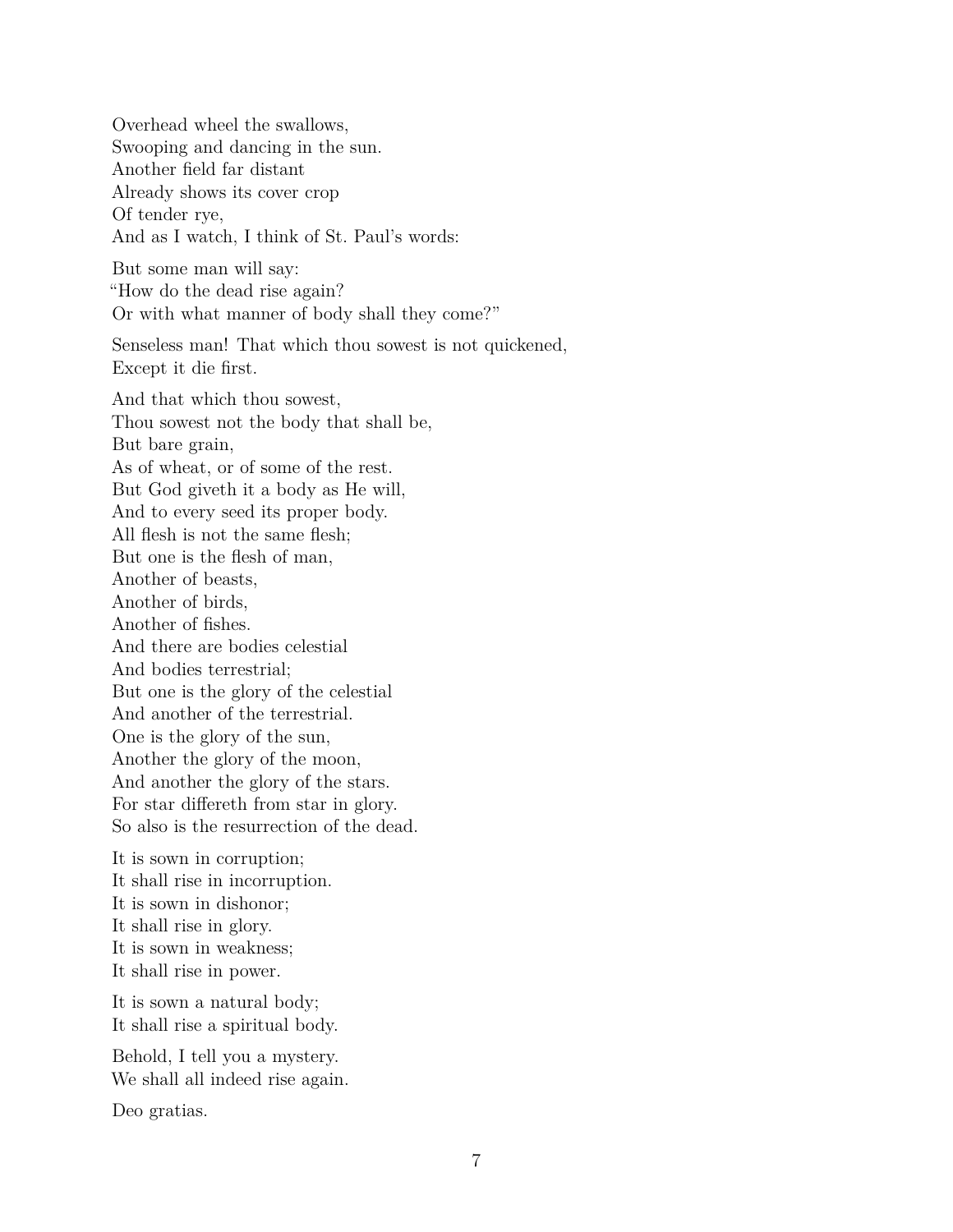Overhead wheel the swallows, Swooping and dancing in the sun. Another field far distant Already shows its cover crop Of tender rye, And as I watch, I think of St. Paul's words: But some man will say: "How do the dead rise again? Or with what manner of body shall they come?" Senseless man! That which thou sowest is not quickened, Except it die first. And that which thou sowest, Thou sowest not the body that shall be, But bare grain, As of wheat, or of some of the rest. But God giveth it a body as He will, And to every seed its proper body. All flesh is not the same flesh; But one is the flesh of man, Another of beasts, Another of birds, Another of fishes. And there are bodies celestial And bodies terrestrial; But one is the glory of the celestial And another of the terrestrial. One is the glory of the sun, Another the glory of the moon, And another the glory of the stars. For star differeth from star in glory. So also is the resurrection of the dead. It is sown in corruption; It shall rise in incorruption. It is sown in dishonor; It shall rise in glory. It is sown in weakness;

It shall rise in power.

It is sown a natural body; It shall rise a spiritual body.

Behold, I tell you a mystery. We shall all indeed rise again.

Deo gratias.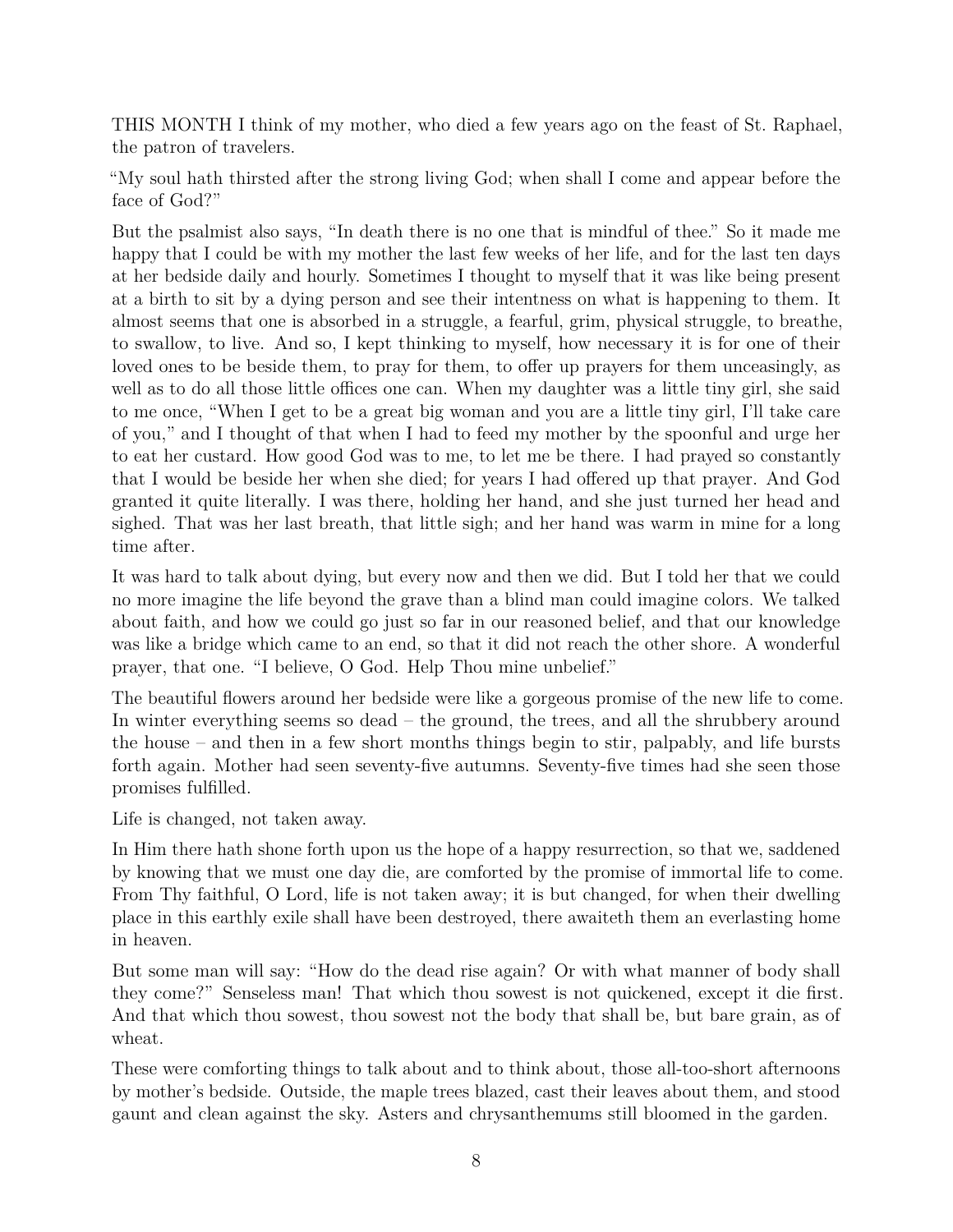THIS MONTH I think of my mother, who died a few years ago on the feast of St. Raphael, the patron of travelers.

"My soul hath thirsted after the strong living God; when shall I come and appear before the face of God?"

But the psalmist also says, "In death there is no one that is mindful of thee." So it made me happy that I could be with my mother the last few weeks of her life, and for the last ten days at her bedside daily and hourly. Sometimes I thought to myself that it was like being present at a birth to sit by a dying person and see their intentness on what is happening to them. It almost seems that one is absorbed in a struggle, a fearful, grim, physical struggle, to breathe, to swallow, to live. And so, I kept thinking to myself, how necessary it is for one of their loved ones to be beside them, to pray for them, to offer up prayers for them unceasingly, as well as to do all those little offices one can. When my daughter was a little tiny girl, she said to me once, "When I get to be a great big woman and you are a little tiny girl, I'll take care of you," and I thought of that when I had to feed my mother by the spoonful and urge her to eat her custard. How good God was to me, to let me be there. I had prayed so constantly that I would be beside her when she died; for years I had offered up that prayer. And God granted it quite literally. I was there, holding her hand, and she just turned her head and sighed. That was her last breath, that little sigh; and her hand was warm in mine for a long time after.

It was hard to talk about dying, but every now and then we did. But I told her that we could no more imagine the life beyond the grave than a blind man could imagine colors. We talked about faith, and how we could go just so far in our reasoned belief, and that our knowledge was like a bridge which came to an end, so that it did not reach the other shore. A wonderful prayer, that one. "I believe, O God. Help Thou mine unbelief."

The beautiful flowers around her bedside were like a gorgeous promise of the new life to come. In winter everything seems so dead – the ground, the trees, and all the shrubbery around the house – and then in a few short months things begin to stir, palpably, and life bursts forth again. Mother had seen seventy-five autumns. Seventy-five times had she seen those promises fulfilled.

Life is changed, not taken away.

In Him there hath shone forth upon us the hope of a happy resurrection, so that we, saddened by knowing that we must one day die, are comforted by the promise of immortal life to come. From Thy faithful, O Lord, life is not taken away; it is but changed, for when their dwelling place in this earthly exile shall have been destroyed, there awaiteth them an everlasting home in heaven.

But some man will say: "How do the dead rise again? Or with what manner of body shall they come?" Senseless man! That which thou sowest is not quickened, except it die first. And that which thou sowest, thou sowest not the body that shall be, but bare grain, as of wheat.

These were comforting things to talk about and to think about, those all-too-short afternoons by mother's bedside. Outside, the maple trees blazed, cast their leaves about them, and stood gaunt and clean against the sky. Asters and chrysanthemums still bloomed in the garden.